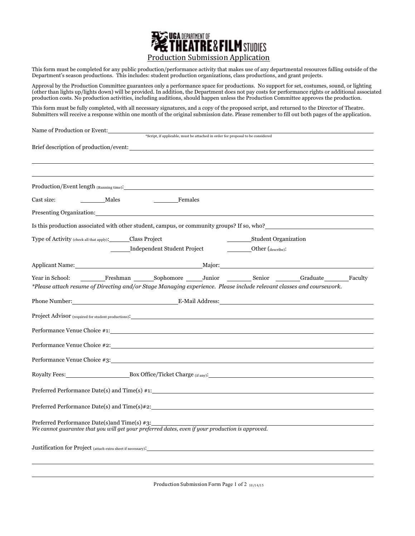

This form must be completed for any public production/performance activity that makes use of any departmental resources falling outside of the Department's season productions. This includes: student production organizations, class productions, and grant projects.

Approval by the Production Committee guarantees only a performance space for productions. No support for set, costumes, sound, or lighting (other than lights up/lights down) will be provided. In addition, the Department does not pay costs for performance rights or additional associated production costs. No production activities, including auditions, should happen unless the Production Committee approves the production.

This form must be fully completed, with all necessary signatures, and a copy of the proposed script, and returned to the Director of Theatre. Submitters will receive a response within one month of the original submission date. Please remember to fill out both pages of the application.

| Name of Production or Event:                                                                                                                     |                                                                                 |  |                             |  |  |
|--------------------------------------------------------------------------------------------------------------------------------------------------|---------------------------------------------------------------------------------|--|-----------------------------|--|--|
|                                                                                                                                                  | *Script, if applicable, must be attached in order for proposal to be considered |  |                             |  |  |
| Brief description of production/event:                                                                                                           |                                                                                 |  |                             |  |  |
|                                                                                                                                                  |                                                                                 |  |                             |  |  |
|                                                                                                                                                  |                                                                                 |  |                             |  |  |
|                                                                                                                                                  |                                                                                 |  |                             |  |  |
| Females<br>Cast size:<br>Males                                                                                                                   |                                                                                 |  |                             |  |  |
| Presenting Organization: National Communication of the Communication of the Communication of the Communication                                   |                                                                                 |  |                             |  |  |
| Is this production associated with other student, campus, or community groups? If so, who?                                                       |                                                                                 |  |                             |  |  |
| Type of Activity (check all that apply): Class Project                                                                                           |                                                                                 |  | <b>Student Organization</b> |  |  |
|                                                                                                                                                  | <b>Independent Student Project</b>                                              |  | Other (describe):           |  |  |
| Applicant Name: Major: Major:                                                                                                                    |                                                                                 |  |                             |  |  |
| Year in School:                                                                                                                                  | Freshman Sophomore Junior Senior Graduate Faculty                               |  |                             |  |  |
| *Please attach resume of Directing and/or Stage Managing experience. Please include relevant classes and coursework.                             |                                                                                 |  |                             |  |  |
|                                                                                                                                                  |                                                                                 |  |                             |  |  |
|                                                                                                                                                  |                                                                                 |  |                             |  |  |
|                                                                                                                                                  |                                                                                 |  |                             |  |  |
| Performance Venue Choice #1:                                                                                                                     |                                                                                 |  |                             |  |  |
|                                                                                                                                                  |                                                                                 |  |                             |  |  |
|                                                                                                                                                  |                                                                                 |  |                             |  |  |
| Royalty Fees: Box Office/Ticket Charge (if any):                                                                                                 |                                                                                 |  |                             |  |  |
|                                                                                                                                                  |                                                                                 |  |                             |  |  |
|                                                                                                                                                  |                                                                                 |  |                             |  |  |
|                                                                                                                                                  |                                                                                 |  |                             |  |  |
| Preferred Performance Date(s)and Time(s) #3:<br>We cannot guarantee that you will get your preferred dates, even if your production is approved. |                                                                                 |  |                             |  |  |
|                                                                                                                                                  |                                                                                 |  |                             |  |  |
|                                                                                                                                                  |                                                                                 |  |                             |  |  |
|                                                                                                                                                  |                                                                                 |  |                             |  |  |
|                                                                                                                                                  |                                                                                 |  |                             |  |  |

Production Submission Form Page 1 of 2  $_{10/14/15}$